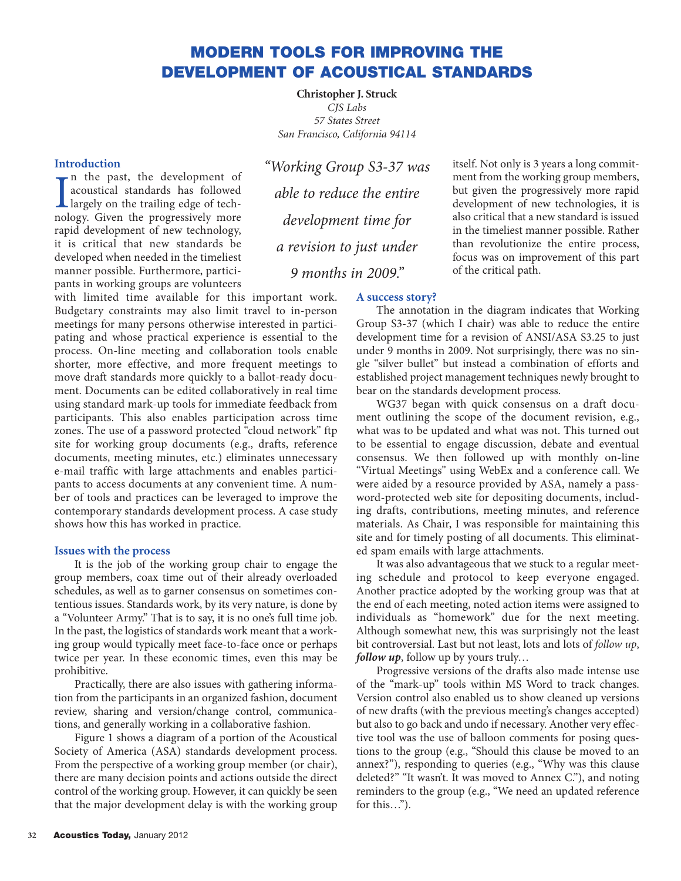# **MODERN TOOLS FOR IMPROVING THE DEVELOPMENT OF ACOUSTICAL STANDARDS**

**Christopher J. Struck** *CJS Labs 57 States Street San Francisco, California 94114*

# **Introduction**

In the past, the development of<br>acoustical standards has followed<br>largely on the trailing edge of tech-<br>nology Given the progressively more n the past, the development of acoustical standards has followed nology. Given the progressively more rapid development of new technology, it is critical that new standards be developed when needed in the timeliest manner possible. Furthermore, participants in working groups are volunteers

with limited time available for this important work. Budgetary constraints may also limit travel to in-person meetings for many persons otherwise interested in participating and whose practical experience is essential to the process. On-line meeting and collaboration tools enable shorter, more effective, and more frequent meetings to move draft standards more quickly to a ballot-ready document. Documents can be edited collaboratively in real time using standard mark-up tools for immediate feedback from participants. This also enables participation across time zones. The use of a password protected "cloud network" ftp site for working group documents (e.g., drafts, reference documents, meeting minutes, etc.) eliminates unnecessary e-mail traffic with large attachments and enables participants to access documents at any convenient time. A number of tools and practices can be leveraged to improve the contemporary standards development process. A case study shows how this has worked in practice.

### **Issues with the process**

It is the job of the working group chair to engage the group members, coax time out of their already overloaded schedules, as well as to garner consensus on sometimes contentious issues. Standards work, by its very nature, is done by a "Volunteer Army." That is to say, it is no one's full time job. In the past, the logistics of standards work meant that a working group would typically meet face-to-face once or perhaps twice per year. In these economic times, even this may be prohibitive.

Practically, there are also issues with gathering information from the participants in an organized fashion, document review, sharing and version/change control, communications, and generally working in a collaborative fashion.

Figure 1 shows a diagram of a portion of the Acoustical Society of America (ASA) standards development process. From the perspective of a working group member (or chair), there are many decision points and actions outside the direct control of the working group. However, it can quickly be seen that the major development delay is with the working group

*"Working Group S3-37 was able to reduce the entire development time for a revision to just under 9 months in 2009."*

itself. Not only is 3 years a long commitment from the working group members, but given the progressively more rapid development of new technologies, it is also critical that a new standard is issued in the timeliest manner possible. Rather than revolutionize the entire process, focus was on improvement of this part of the critical path.

## **A success story?**

The annotation in the diagram indicates that Working Group S3-37 (which I chair) was able to reduce the entire development time for a revision of ANSI/ASA S3.25 to just under 9 months in 2009. Not surprisingly, there was no single "silver bullet" but instead a combination of efforts and established project management techniques newly brought to bear on the standards development process.

WG37 began with quick consensus on a draft document outlining the scope of the document revision, e.g., what was to be updated and what was not. This turned out to be essential to engage discussion, debate and eventual consensus. We then followed up with monthly on-line "Virtual Meetings" using WebEx and a conference call. We were aided by a resource provided by ASA, namely a password-protected web site for depositing documents, including drafts, contributions, meeting minutes, and reference materials. As Chair, I was responsible for maintaining this site and for timely posting of all documents. This eliminated spam emails with large attachments.

It was also advantageous that we stuck to a regular meeting schedule and protocol to keep everyone engaged. Another practice adopted by the working group was that at the end of each meeting, noted action items were assigned to individuals as "homework" due for the next meeting. Although somewhat new, this was surprisingly not the least bit controversial. Last but not least, lots and lots of *follow up*, *follow up*, follow up by yours truly…

Progressive versions of the drafts also made intense use of the "mark-up" tools within MS Word to track changes. Version control also enabled us to show cleaned up versions of new drafts (with the previous meeting's changes accepted) but also to go back and undo if necessary. Another very effective tool was the use of balloon comments for posing questions to the group (e.g., "Should this clause be moved to an annex?"), responding to queries (e.g., "Why was this clause deleted?" "It wasn't. It was moved to Annex C."), and noting reminders to the group (e.g., "We need an updated reference for this…").